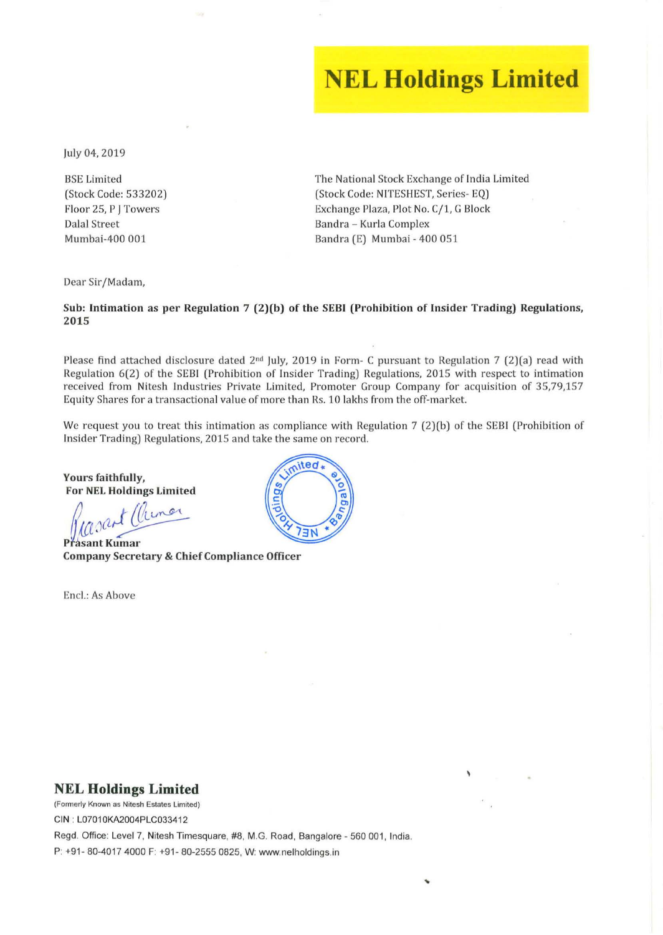# **NEL Holdings Limited**

July 04, 2019

BSE Limited (Stock Code: 533202) Floor 25, P J Towers Dalal Street Mumbai-400 001

The National Stock Exchange of India Limited (Stock Code: NITESHEST, Series-EQ) Exchange Plaza, Plot No. C/1, G Block Bandra - Kurla Complex Ba ndra (E) Mumbai - 400 051

Dear Sir/Madam,

#### Sub: Intimation as per Regulation 7 (2)(b) of the SEBI (Prohibition of Insider Trading) Regulations, 2015

Please find attached disclosure dated  $2<sup>nd</sup>$  July, 2019 in Form- C pursuant to Regulation 7 (2)(a) read with Regulation 6(2) of the SEBI (Prohibition of Insider Trading) Regulations, 2015 with respect to intimation received from Nitesh Industries Private Limited, Promoter Group Company for acquisition of 35,79,157 Equity Shares for a transactional value of more than Rs. 10 lakhs from the off-market.

We request you to treat this intimation as compliance with Regulation 7 (2)(b) of the SEBI (Prohibition of Insider Trading) Regulations, 2015 and take the same on record.

Yours faithfully, For NEL Holdings Limited

Rasant Clinar

Company Secretary & Chief Compliance Officer

Encl.: As Above



#### **NEL Holdings Limited**

**(Fomlerly Known as Nitesh Estates Limited)** 

CIN : L07010KA2004PLC033412

Regd. Office: Level 7, Nitesh Timesquare, #8, M.G. Road, Bangalore - 560 001, India. P: +91- 80-4017 4000 F: +91- 80-2555 0825, W: www. nelholdings.in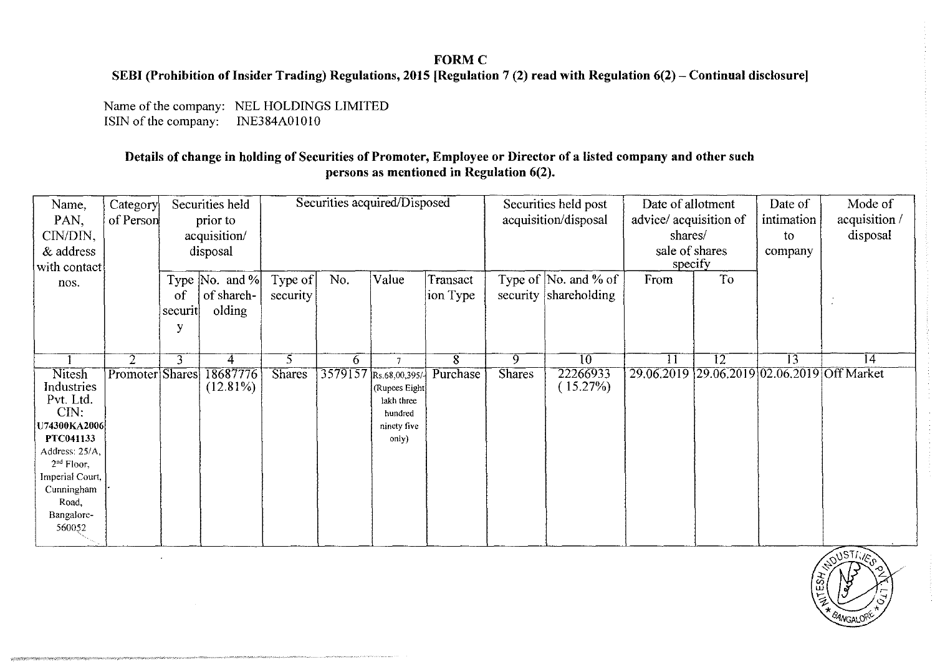## FORMC

### SEBI (Prohibition of Insider Trading) Regulations, 2015 [Regulation 7 (2) read with Regulation 6(2) - Continual disclosure]

Name of the company: NEL HOLDINGS LIMITED<br>ISIN of the company: INE384A01010 ISIN of the company:

\_\1""'"""\\'"'''' W\II";\\'"

menterior in the State of the process of the complete company

### Details of change in holding of Securities of Promoter, Employee or Director of a listed company and other such persons as mentioned in Regulation 6(2).

| Name,           | Category        | Securities held |                              | Securities acquired/Disposed |     |                        |          | Securities held post |                              | Date of allotment                           |    | Date of    | Mode of       |
|-----------------|-----------------|-----------------|------------------------------|------------------------------|-----|------------------------|----------|----------------------|------------------------------|---------------------------------------------|----|------------|---------------|
| PAN,            | of Person       | prior to        |                              |                              |     |                        |          | acquisition/disposal |                              | advice/acquisition of                       |    | intimation | acquisition / |
| CIN/DIN,        |                 | acquisition/    |                              |                              |     |                        |          |                      | shares/                      |                                             | to | disposal   |               |
|                 |                 |                 |                              |                              |     |                        |          |                      |                              |                                             |    |            |               |
| & address       |                 | disposal        |                              |                              |     |                        |          |                      |                              | sale of shares<br>specify                   |    | company    |               |
| with contact    |                 |                 |                              |                              |     |                        |          |                      |                              |                                             |    |            |               |
| nos.            |                 |                 | Type $ No. \text{ and } \% $ | Type of                      | No. | Value                  | Transact |                      | Type of $\vert$ No. and % of | From                                        | To |            |               |
|                 |                 | of              | of shareh-                   | security                     |     |                        | ion Type |                      | security shareholding        |                                             |    |            |               |
|                 |                 | securit         | olding                       |                              |     |                        |          |                      |                              |                                             |    |            |               |
|                 |                 |                 |                              |                              |     |                        |          |                      |                              |                                             |    |            |               |
|                 |                 |                 |                              |                              |     |                        |          |                      |                              |                                             |    |            |               |
|                 |                 |                 |                              |                              |     |                        |          |                      |                              |                                             |    |            |               |
|                 | $\overline{2}$  | 3               | 4                            | 5.                           | 6   | 7                      | 8        | 9.                   | 10                           | 11                                          | 12 | 13         | 14            |
| <b>Nitesh</b>   | Promoter Shares |                 | 18687776                     | <b>Shares</b>                |     | 3579157 Rs.68,00,395/- | Purchase | <b>Shares</b>        | 22266933                     | 29.06.2019 29.06.2019 02.06.2019 Off Market |    |            |               |
| Industries      |                 |                 | $(12.81\%)$                  |                              |     | (Rupces Eight)         |          |                      | (15.27%)                     |                                             |    |            |               |
| Pvt. Ltd.       |                 |                 |                              |                              |     | lakh three             |          |                      |                              |                                             |    |            |               |
| CIN:            |                 |                 |                              |                              |     | hundred                |          |                      |                              |                                             |    |            |               |
| U74300KA2006    |                 |                 |                              |                              |     | ninety five            |          |                      |                              |                                             |    |            |               |
| PTC041133       |                 |                 |                              |                              |     | only)                  |          |                      |                              |                                             |    |            |               |
| Address: 25/A,  |                 |                 |                              |                              |     |                        |          |                      |                              |                                             |    |            |               |
| $2nd$ Floor,    |                 |                 |                              |                              |     |                        |          |                      |                              |                                             |    |            |               |
| Imperial Court, |                 |                 |                              |                              |     |                        |          |                      |                              |                                             |    |            |               |
| Cunningham      |                 |                 |                              |                              |     |                        |          |                      |                              |                                             |    |            |               |
| Road.           |                 |                 |                              |                              |     |                        |          |                      |                              |                                             |    |            |               |
| Bangalore-      |                 |                 |                              |                              |     |                        |          |                      |                              |                                             |    |            |               |
| 560052          |                 |                 |                              |                              |     |                        |          |                      |                              |                                             |    |            |               |
|                 |                 |                 |                              |                              |     |                        |          |                      |                              |                                             |    |            |               |